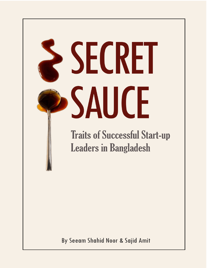# SECRET SAUCE

**Traits of Successful Start-up Leaders in Bangladesh** 

By Seeam Shahid Noor & Sajid Amit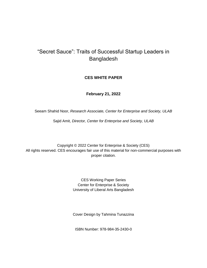#### "Secret Sauce": Traits of Successful Startup Leaders in Bangladesh

#### **CES WHITE PAPER**

#### **February 21, 2022**

Seeam Shahid Noor, *Research Associate, Center for Enterprise and Society, ULAB*

Sajid Amit, *Director, Center for Enterprise and Society, ULAB*

Copyright © 2022 Center for Enterprise & Society (CES) All rights reserved. CES encourages fair use of this material for non-commercial purposes with proper citation.

> CES Working Paper Series Center for Enterprise & Society University of Liberal Arts Bangladesh

> Cover Design by Tahmina Tunazzina

ISBN Number: 978-984-35-2430-0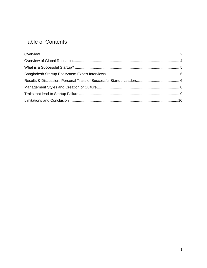#### **Table of Contents**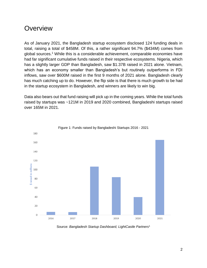#### <span id="page-3-0"></span>**Overview**

As of January 2021, the Bangladesh startup ecosystem disclosed 124 funding deals in total, raising a total of \$458M. Of this, a rather significant 94.7% (\$434M) comes from global sources.<sup>1</sup> While this is a considerable achievement, comparable economies have had far significant cumulative funds raised in their respective ecosystems. Nigeria, which has a slightly larger GDP than Bangladesh, saw \$1.37B raised in 2021 alone. Vietnam, which has an economy smaller than Bangladesh's but routinely outperforms in FDI inflows, saw over \$600M raised in the first 9 months of 2021 alone. Bangladesh clearly has much catching up to do. However, the flip side is that there is much growth to be had in the startup ecosystem in Bangladesh, and winners are likely to win big.

Data also bears out that fund raising will pick up in the coming years. While the total funds raised by startups was ~121M in 2019 and 2020 combined, Bangladeshi startups raised over 165M in 2021.



Figure 1: Funds raised by Bangladeshi Startups 2016 - 2021

Source: *Bangladesh Startup Dashboard, LightCastle Partners*<sup>1</sup>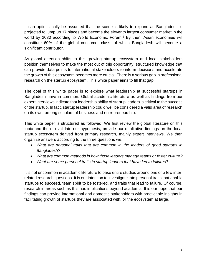It can optimistically be assumed that the scene is likely to expand as Bangladesh is projected to jump up 17 places and become the eleventh largest consumer market in the world by 2030 according to World Economic Forum.<sup>2</sup> By then, Asian economies will constitute 60% of the global consumer class, of which Bangladesh will become a significant contributor.

As global attention shifts to this growing startup ecosystem and local stakeholders position themselves to make the most out of this opportunity, structured knowledge that can provide data points to international stakeholders to inform decisions and accelerate the growth of this ecosystem becomes more crucial. There is a serious gap in professional research on the startup ecosystem. This white paper aims to fill that gap.

The goal of this white paper is to explore what leadership at successful startups in Bangladesh have in common. Global academic literature as well as findings from our expert interviews indicate that leadership ability of startup leaders is critical to the success of the startup. In fact, startup leadership could well be considered a valid area of research on its own, among scholars of business and entrepreneurship.

This white paper is structured as followed. We first review the global literature on this topic and then to validate our hypothesis, provide our qualitative findings on the local startup ecosystem derived from primary research, mainly expert interviews. We then organize answers according to the three questions we:

- *What are personal traits that are common in the leaders of good startups in Bangladesh?*
- *What are common methods in how those leaders manage teams or foster culture?*
- *What are some personal traits in startup leaders that have led to failures?*

It is not uncommon in academic literature to base entire studies around one or a few interrelated research questions. It is our intention to investigate into personal traits that enable startups to succeed, team spirit to be fostered, and traits that lead to failure. Of course, research in areas such as this has implications beyond academia. It is our hope that our findings can provide international and domestic stakeholders with practicable insights in facilitating growth of startups they are associated with, or the ecosystem at large.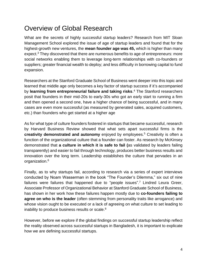## <span id="page-5-0"></span>Overview of Global Research

What are the secrets of highly successful startup leaders? Research from MIT Sloan Management School explored the issue of age of startup leaders and found that for the highest-growth new ventures, the **mean founder age was 45,** which is higher than many expect.<sup>3</sup> They discovered that there are numerous benefits to age of entrepreneurs: more social networks enabling them to leverage long-term relationships with co-founders or suppliers; greater financial wealth to deploy; and less difficulty in borrowing capital to fund expansion.

Researchers at the Stanford Graduate School of Business went deeper into this topic and learned that middle age only becomes a key factor of startup success if it's accompanied by **learning from entrepreneurial failure and taking risks**. <sup>4</sup> The Stanford researchers posit that founders in their mid-20s to early-30s who got an early start to running a firm and then opened a second one, have a higher chance of being successful, and in many cases are even more successful (as measured by generated sales, acquired customers, etc.) than founders who get started at a higher age

As for what type of culture founders fostered in startups that became successful, research by Harvard Business Review showed that what sets apart successful firms is the **creativity demonstrated and autonomy** enjoyed by employees.<sup>5</sup> Creativity is often a function of the organizational culture that a founder can foster. As research by McKinsey demonstrated that **a culture in which it is safe to fail (**as validated by leaders failing transparently) and easier to fail through technology, produces better business results and innovation over the long term. Leadership establishes the culture that pervades in an organization.<sup>6</sup>

Finally, as to why startups fail, according to research via a series of expert interviews conducted by Noam Wasserman in the book "The Founder's Dilemma," six out of nine failures were failures that happened due to "people issues".<sup>7</sup> Lindred Leura Greer, Associate Professor of Organizational Behavior at Stanford Graduate School of Business, has shown in her work how these failures happen mostly due to **co-founders failing to agree on who is the leader** (often stemming from personality traits like arrogance) and whose vision ought to be executed or a lack of agreeing on what culture to set leading to inability to produce business results or scale.<sup>8</sup>

However, before we explore if the global findings on successful startup leadership reflect the reality observed across successful startups in Bangladesh, it is important to explicate how we are defining successful startups.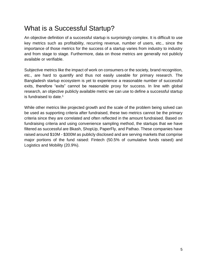## <span id="page-6-0"></span>What is a Successful Startup?

An objective definition of a successful startup is surprisingly complex. It is difficult to use key metrics such as profitability, recurring revenue, number of users, etc., since the importance of those metrics for the success of a startup varies from industry to industry and from stage to stage. Furthermore, data on those metrics are generally not publicly available or verifiable.

Subjective metrics like the impact of work on consumers or the society, brand recognition, etc., are hard to quantify and thus not easily useable for primary research. The Bangladesh startup ecosystem is yet to experience a reasonable number of successful exits, therefore "exits" cannot be reasonable proxy for success. In line with global research, an objective publicly available metric we can use to define a successful startup is fundraised to date.<sup>1</sup>

While other metrics like projected growth and the scale of the problem being solved can be used as supporting criteria after fundraised, these two metrics cannot be the primary criteria since they are correlated and often reflected in the amount fundraised. Based on fundraising criteria and using convenience sampling method, the startups that we have filtered as successful are Bkash, ShopUp, PaperFly, and Pathao. These companies have raised around \$10M - \$300M as publicly disclosed and are serving markets that comprise major portions of the fund raised: Fintech (50.5% of cumulative funds raised) and Logistics and Mobility (20.9%).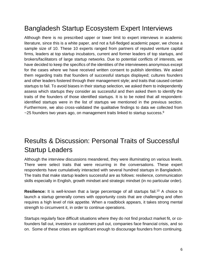# <span id="page-7-0"></span>Bangladesh Startup Ecosystem Expert Interviews

Although there is no prescribed upper or lower limit to expert interviews in academic literature, since this is a white paper, and not a full-fledged academic paper, we chose a sample size of 10. These 10 experts ranged from partners of reputed venture capital firms, leaders at top startup incubators, current and former leaders of top startups, and brokers/facilitators of large startup networks. Due to potential conflicts of interests, we have decided to keep the specifics of the identities of the interviewees anonymous except for the cases where we have received written consent to publish identities. We asked them regarding traits that founders of successful startups displayed; cultures founders and other leaders fostered through their management style; and traits that caused certain startups to fail. To avoid biases in their startup selection, we asked them to independently assess which startups they consider as successful and then asked them to identify the traits of the founders of those identified startups. It is to be noted that all respondentidentified startups were in the list of startups we mentioned in the previous section. Furthermore, we also cross-validated the qualitative findings to data we collected from  $\sim$ 25 founders two years ago, on management traits linked to startup success.  $9$ 

# <span id="page-7-1"></span>Results & Discussion: Personal Traits of Successful Startup Leaders

Although the interview discussions meandered, they were illuminating on various levels. There were select traits that were recurring in the conversations. These expert respondents have cumulatively interacted with several hundred startups in Bangladesh. The traits that make startup leaders successful are as follows: resilience, communication skills especially in English, growth mindset and strategic mindset (in no particular order).

**Resilience:** It is well-known that a large percentage of all startups fail.<sup>10</sup> A choice to launch a startup generally comes with opportunity costs that are challenging and often requires a high level of risk appetite. When a roadblock appears, it takes strong mental strength to circumvent it, in order to continue operations.

Startups regularly face difficult situations where they do not find product market fit, or cofounders fall out, investors or customers pull out, companies face financial crisis, and so on. Some of these crises are significant enough to discourage founders from continuing.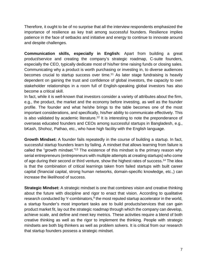Therefore, it ought to be of no surprise that all the interview respondents emphasized the importance of resilience as key trait among successful founders. Resilience implies patience in the face of setbacks and initiative and energy to continue to innovate around and despite challenges.

**Communication skills, especially in English:** Apart from building a great product/service and creating the company's strategic roadmap, C-suite founders, especially the CEO, typically dedicate most of his/her time raising funds or closing sales. Communicating why a product is worth purchasing or investing in, to diverse audiences becomes crucial to startup success over time.<sup>11</sup> As later stage fundraising is heavily dependent on gaining the trust and confidence of global investors, the capacity to own stakeholder relationships in a room full of English-speaking global investors has also become a critical skill.

In fact, while it is well-known that investors consider a variety of attributes about the firm, e.g., the product, the market and the economy before investing, as well as the founder profile. The founder and what he/she brings to the table becomes one of the most important considerations, and specifically, his/her ability to communicate effectively. This is also validated by academic literature.<sup>12</sup> It is interesting to note the preponderance of overseas educated founders and CEOs among successful startups in Bangladesh, e.g., bKash, Shohoz, Pathao, etc., who have high facility with the English language.

**Growth Mindset:** A founder fails repeatedly in the course of building a startup. In fact, successful startup founders learn by failing. A mindset that allows learning from failure is called the "growth mindset."<sup>13</sup> The existence of this mindset is the primary reason why serial entrepreneurs (entrepreneurs with multiple attempts at creating startups) who come of age during their second or third venture, show the highest rates of success.<sup>14</sup> The idea is that the combination of critical learnings taken from failed startups with built career capital (financial capital, strong human networks, domain-specific knowledge, etc.,) can increase the likelihood of success.

**Strategic Mindset:** A strategic mindset is one that combines vision and creative thinking about the future with discipline and rigor to enact that vision. According to qualitative research conducted by Y-combinators,<sup>9</sup> the most reputed startup accelerator in the world, a startup founder's most important tasks are to build products/services that can gain product market fit, lay out the strategic roadmap through which the company can develop, achieve scale, and define and meet key metrics. These activities require a blend of both creative thinking as well as the rigor to implement the thinking. People with strategic mindsets are both big thinkers as well as problem solvers. It is critical from our research that startup founders possess a strategic mindset.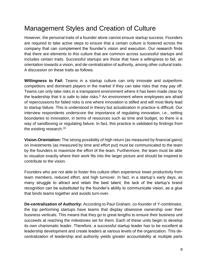# <span id="page-9-0"></span>Management Styles and Creation of Culture

However, the personal traits of a founder alone cannot ensure startup success. Founders are required to take active steps to ensure that a certain culture is fostered across the company that can complement the founder's vision and execution. Our research finds that there are elements to this culture that are common across successful startups and includes certain traits. Successful startups are those that have a willingness to fail, an orientation towards a vision, and de-centralization of authority, among other cultural traits. A discussion on these traits as follows.

**Willingness to Fail:** Teams in a startup culture can only innovate and outperform competitors and dominant players in the market if they can take risks that may pay off. Teams can only take risks in a transparent environment where it has been made clear by the leadership that it is safe to take risks.<sup>6</sup> An environment where employees are afraid of repercussions for failed risks is one where innovation is stifled and will most likely lead to startup failure. This is understood in theory but actualization in practice is difficult. Our interview respondents underscore the importance of regulating innovation, i.e., setting boundaries to innovation, in terms of resources such as time and budget, so there is a way of sandboxing or regulating failure. In fact, this practice is validated by findings from the existing research.<sup>15</sup>

**Vision-Orientation:** The strong possibility of high return (as measured by financial gains) on investments (as measured by time and effort put) must be communicated to the team by the founders to maximize the effort of the team. Furthermore, the team must be able to visualize exactly where their work fits into the larger picture and should be inspired to contribute to the vision.

Founders who are not able to foster this culture often experience lower productivity from team members, reduced effort, and high turnover. In fact, in a startup's early days, as many struggle to attract and retain the best talent, the lack of the startup's brand recognition can be substituted by the founder's ability to communicate vision, as a glue that binds teams together and avoids turn-over.

**De-centralization of Authority:** According to Paul Graham, co-founder of Y-combinator, the top performing startups have teams that display obsessive ownership over their business verticals. This means that they go to great lengths to ensure their business unit succeeds at reaching the milestones set for them. Each of these units begin to develop its own charismatic leader. Therefore, a successful startup leader has to be excellent at leadership development and create leaders at various levels of the organization. This decentralization of leadership and authority yields greater accountability at multiple parts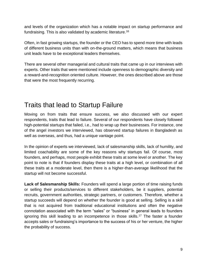and levels of the organization which has a notable impact on startup performance and fundraising. This is also validated by academic literature.<sup>16</sup>

Often, in fast growing startups, the founder or the CEO has to spend more time with leads of different business units than with on-the-ground matters, which means that business unit leads have to be exceptional leaders themselves.

There are several other managerial and cultural traits that came up in our interviews with experts. Other traits that were mentioned include openness to demographic diversity and a reward-and-recognition oriented culture. However, the ones described above are those that were the most frequently recurring.

### <span id="page-10-0"></span>Traits that lead to Startup Failure

Moving on from traits that ensure success, we also discussed with our expert respondents, traits that lead to failure. Several of our respondents have closely followed high-potential startups that failed, i.e., had to wrap up their businesses. For instance, one of the angel investors we interviewed, has observed startup failures in Bangladesh as well as overseas, and thus, had a unique vantage point.

In the opinion of experts we interviewed, lack of salesmanship skills, lack of humility, and limited coachability are some of the key reasons why startups fail. Of course, most founders, and perhaps, most people exhibit these traits at some level or another. The key point to note is that if founders display these traits at a high level, or combination of all these traits at a moderate level, then there is a higher-than-average likelihood that the startup will not become successful.

**Lack of Salesmanship Skills:** Founders will spend a large portion of time raising funds or selling their products/services to different stakeholders, be it suppliers, potential recruits, government authorities, strategic partners, or customers. Therefore, whether a startup succeeds will depend on whether the founder is good at selling. Selling is a skill that is not acquired from traditional educational institutions and often the negative connotation associated with the term "sales" or "business" in general leads to founders ignoring this skill leading to an incompetence in those skills.<sup>17</sup> The faster a founder accepts sales or fundraising's importance to the success of his or her venture, the higher the probability of success.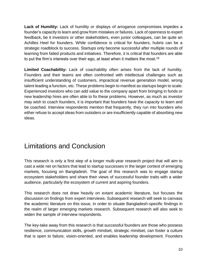**Lack of Humility:** Lack of humility or displays of arrogance compromises impedes a founder's capacity to learn and grow from mistakes or failures. Lack of openness to expert feedback, be it investors or other stakeholders, even junior colleagues, can be quite an Achilles Heel for founders. While confidence is critical for founders, hubris can be a strategic roadblock to success. Startups only become successful after multiple rounds of learning from failed products and initiatives. Therefore, it is critical that founders are able to put the firm's interests over their ego, at least when it matters the most. $^{18}$ 

**Limited Coachability:** Lack of coachability often arises from the lack of humility. Founders and their teams are often confronted with intellectual challenges such as insufficient understanding of customers, impractical revenue generation model, wrong talent leading a function, etc. These problems begin to manifest as startups begin to scale. Experienced investors who can add value to the company apart from bringing in funds or new leadership hires are often able to fix these problems. However, as much as investor may wish to coach founders, it is important that founders have the capacity to learn and be coached. Interview respondents mention that frequently, they run into founders who either refuse to accept ideas from outsiders or are insufficiently capable of absorbing new ideas.

#### <span id="page-11-0"></span>Limitations and Conclusion

This research is only a first step of a longer multi-year research project that will aim to cast a wide net on factors that lead to startup successes in the larger context of emerging markets, focusing on Bangladesh. The goal of this research was to engage startup ecosystem stakeholders and share their views of successful founder traits with a wider audience, particularly the ecosystem of current and aspiring founders.

This research does not draw heavily on extant academic literature, but focuses the discussion on findings from expert interviews. Subsequent research will seek to canvass the academic literature on this issue, in order to situate Bangladesh-specific findings in the realm of larger emerging markets research. Subsequent research will also seek to widen the sample of interview respondents.

The key-take away from this research is that successful founders are those who possess resilience, communication skills, growth mindset, strategic mindset, can foster a culture that is open to failure, vision-oriented, and enables leadership development. Founders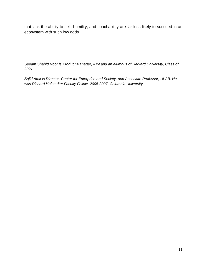that lack the ability to sell, humility, and coachability are far less likely to succeed in an ecosystem with such low odds.

*Seeam Shahid Noor is Product Manager, IBM and an alumnus of Harvard University, Class of 2021*

*Sajid Amit is Director, Center for Enterprise and Society, and Associate Professor, ULAB. He was Richard Hofstadter Faculty Fellow, 2005-2007, Columbia University.*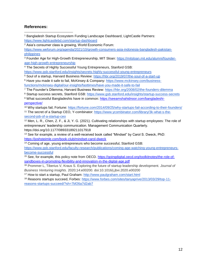#### **References:**

<sup>1</sup> Bangladesh Startup Ecosystem Funding Landscape Dashboard, LightCastle Partners: <https://www.lightcastlebd.com/startup-dashboard>  $\overline{a}$ 

<sup>2</sup> Asia's consumer class is growing, World Economic Forum:

[https://www.weforum.org/agenda/2021/10/growth-consumers-asia-indonesia-bangladesh-pakistan](https://www.weforum.org/agenda/2021/10/growth-consumers-asia-indonesia-bangladesh-pakistan-philippines)[philippines](https://www.weforum.org/agenda/2021/10/growth-consumers-asia-indonesia-bangladesh-pakistan-philippines)

<sup>3</sup> Founder Age for High-Growth Entrepreneurship, MIT Sloan: [https://mitsloan.mit.edu/alumni/founder](https://mitsloan.mit.edu/alumni/founder-age-high-growth-entrepreneurship)[age-high-growth-entrepreneurship](https://mitsloan.mit.edu/alumni/founder-age-high-growth-entrepreneurship)

<sup>4</sup> The Secrets of Highly Successful Young Entrepreneurs, Stanford GSB:

<https://www.gsb.stanford.edu/insights/secrets-highly-successful-young-entrepreneurs>

<sup>5</sup> Soul of a startup, Harvard Business Review:<https://hbr.org/2019/07/the-soul-of-a-start-up>

<sup>6</sup> Have you made it safe to fail, McKinsey & Company: [https://www.mckinsey.com/business](https://www.mckinsey.com/business-functions/mckinsey-digital/our-insights/fasttimes/have-you-made-it-safe-to-fail)[functions/mckinsey-digital/our-insights/fasttimes/have-you-made-it-safe-to-fail](https://www.mckinsey.com/business-functions/mckinsey-digital/our-insights/fasttimes/have-you-made-it-safe-to-fail)

<sup>7</sup> The Founder's Dilemma, Harvard Business Review:<https://hbr.org/2008/02/the-founders-dilemma>

<sup>8</sup> Startup success secrets, Stanford GSB:<https://www.gsb.stanford.edu/insights/startup-success-secrets>

9 What successful Bangladeshis have in common: [https://seeamshahidnoor.com/bangladeshi](https://seeamshahidnoor.com/bangladeshi-perspective/)[perspective/](https://seeamshahidnoor.com/bangladeshi-perspective/)

<sup>10</sup> Why startups fail, Fortune:<https://fortune.com/2014/09/25/why-startups-fail-according-to-their-founders/> <sup>11</sup> The secret of a Startup CEO, Y-combinator: [https://www.ycombinator.com/library/3k-what-s-the-](https://www.ycombinator.com/library/3k-what-s-the-second-job-of-a-startup-ceo)

[second-job-of-a-startup-ceo](https://www.ycombinator.com/library/3k-what-s-the-second-job-of-a-startup-ceo)

<sup>12</sup> Men, L. R., Chen, Z. F., & Ji, Y. G. (2021). Cultivating relationships with startup employees: The role of entrepreneurs' leadership communication. Management Communication Quarterly. https://doi.org/10.1177/08933189211017918

<sup>13</sup> See for example, a review of a well-received book called "Mindset" by Carol S. Dweck, PhD: <https://joshsteimle.com/book-club/mindset-carol-dweck>

<sup>14</sup> Coming of age, young entrepreneurs who become successful, Stanford GSB:

[https://www.gsb.stanford.edu/faculty-research/publications/coming-age-watching-young-entrepreneurs](https://www.gsb.stanford.edu/faculty-research/publications/coming-age-watching-young-entrepreneurs-become-successful)[become-successful](https://www.gsb.stanford.edu/faculty-research/publications/coming-age-watching-young-entrepreneurs-become-successful)

<sup>15</sup> See, for example, this policy note from OECD. [https://goingdigital.oecd.org/toolkitnotes/the-role-of](https://goingdigital.oecd.org/toolkitnotes/the-role-of-sandboxes-in-promoting-flexibility-and-innovation-in-the-digital-age.pdf)[sandboxes-in-promoting-flexibility-and-innovation-in-the-digital-age.pdf](https://goingdigital.oecd.org/toolkitnotes/the-role-of-sandboxes-in-promoting-flexibility-and-innovation-in-the-digital-age.pdf)

<sup>16</sup> Prommer L, Tiberius V, Kraus S. Exploring the future of startup leadership development. *Journal of Business Venturing Insights*. 2020;14:e00200. doi:10.1016/j.jbvi.2020.e00200

<sup>17</sup> How to start a startup, Paul Graham:<http://www.paulgraham.com/start.html>

18 Reasons startups succeed, Forbes: [https://www.forbes.com/sites/tanyaprive/2013/03/29/top-11](https://www.forbes.com/sites/tanyaprive/2013/03/29/top-11-reasons-startups-succeed/?sh=7bf26a7d2ab7) [reasons-startups-succeed/?sh=7bf26a7d2ab7](https://www.forbes.com/sites/tanyaprive/2013/03/29/top-11-reasons-startups-succeed/?sh=7bf26a7d2ab7)